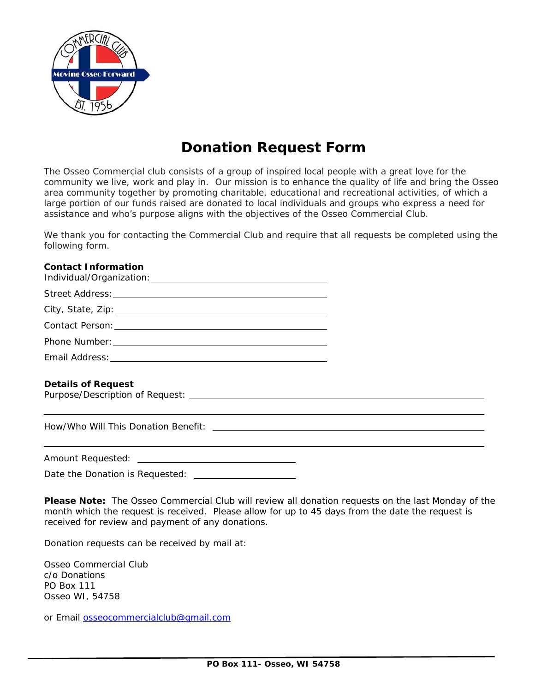

## **Donation Request Form**

The Osseo Commercial club consists of a group of inspired local people with a great love for the community we live, work and play in. Our mission is t*o* enhance the quality of life and bring the Osseo area community together by promoting charitable, educational and recreational activities, of which a large portion of our funds raised are donated to local individuals and groups who express a need for assistance and who's purpose aligns with the objectives of the Osseo Commercial Club.

We thank you for contacting the Commercial Club and require that all requests be completed using the following form.

## **Contact Information**

| Phone Number: The contract of the contract of the contract of the contract of the contract of the contract of the contract of the contract of the contract of the contract of the contract of the contract of the contract of |  |
|-------------------------------------------------------------------------------------------------------------------------------------------------------------------------------------------------------------------------------|--|
| Email Address:                                                                                                                                                                                                                |  |

## **Details of Request**

l

Purpose/Description of Request:

How/Who Will This Donation Benefit:

Amount Requested:

Date the Donation is Requested:

**Please Note:** The Osseo Commercial Club will review all donation requests on the last Monday of the month which the request is received. Please allow for up to 45 days from the date the request is received for review and payment of any donations.

Donation requests can be received by mail at:

Osseo Commercial Club c/o Donations PO Box 111 Osseo WI, 54758

or Email osseocommercialclub@gmail.com